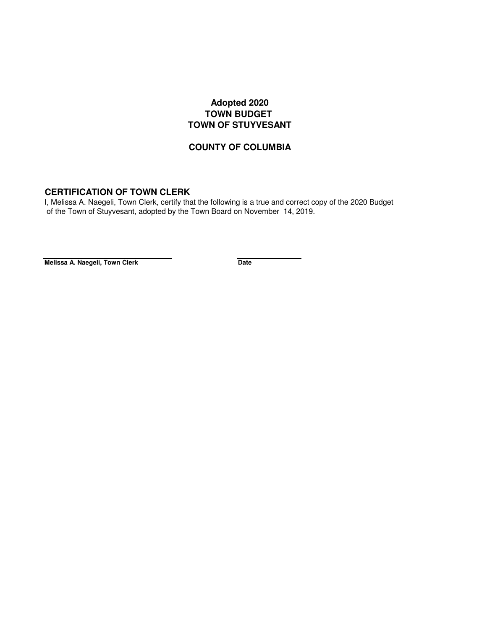## **Adopted 2020 TOWN BUDGET TOWN OF STUYVESANT**

## **COUNTY OF COLUMBIA**

## **CERTIFICATION OF TOWN CLERK**

 of the Town of Stuyvesant, adopted by the Town Board on November 14, 2019. I, Melissa A. Naegeli, Town Clerk, certify that the following is a true and correct copy of the 2020 Budget

**Melissa A. Naegeli, Town Clerk Date**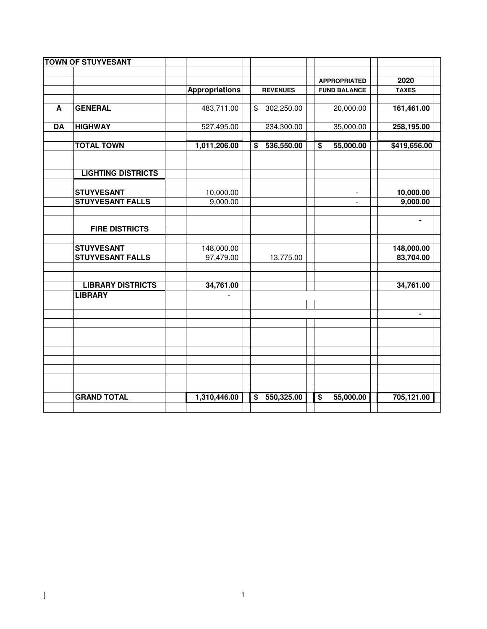|           | <b>TOWN OF STUYVESANT</b> |                       |                                       |                              |              |
|-----------|---------------------------|-----------------------|---------------------------------------|------------------------------|--------------|
|           |                           |                       |                                       |                              |              |
|           |                           |                       |                                       | <b>APPROPRIATED</b>          | 2020         |
|           |                           | <b>Appropriations</b> | <b>REVENUES</b>                       | <b>FUND BALANCE</b>          | <b>TAXES</b> |
|           |                           |                       |                                       |                              |              |
| A         | <b>GENERAL</b>            | 483,711.00            | \$<br>302,250.00                      | 20,000.00                    | 161,461.00   |
|           |                           |                       |                                       |                              |              |
| <b>DA</b> | <b>HIGHWAY</b>            | 527,495.00            | 234,300.00                            | 35,000.00                    | 258,195.00   |
|           |                           |                       |                                       |                              |              |
|           | <b>TOTAL TOWN</b>         | 1,011,206.00          | 536,550.00<br>$\overline{\mathbf{s}}$ | 55,000.00<br>$\overline{\$}$ | \$419,656.00 |
|           |                           |                       |                                       |                              |              |
|           |                           |                       |                                       |                              |              |
|           | <b>LIGHTING DISTRICTS</b> |                       |                                       |                              |              |
|           |                           |                       |                                       |                              |              |
|           | <b>STUYVESANT</b>         | 10,000.00             |                                       |                              | 10,000.00    |
|           | <b>STUYVESANT FALLS</b>   | 9,000.00              |                                       |                              | 9,000.00     |
|           |                           |                       |                                       |                              |              |
|           |                           |                       |                                       |                              |              |
|           | <b>FIRE DISTRICTS</b>     |                       |                                       |                              |              |
|           |                           |                       |                                       |                              |              |
|           | <b>STUYVESANT</b>         | 148,000.00            |                                       |                              | 148,000.00   |
|           | <b>STUYVESANT FALLS</b>   | 97,479.00             | 13,775.00                             |                              | 83,704.00    |
|           |                           |                       |                                       |                              |              |
|           |                           |                       |                                       |                              |              |
|           | <b>LIBRARY DISTRICTS</b>  | 34,761.00             |                                       |                              | 34,761.00    |
|           | <b>LIBRARY</b>            |                       |                                       |                              |              |
|           |                           |                       |                                       |                              |              |
|           |                           |                       |                                       |                              | ۰            |
|           |                           |                       |                                       |                              |              |
|           |                           |                       |                                       |                              |              |
|           |                           |                       |                                       |                              |              |
|           |                           |                       |                                       |                              |              |
|           |                           |                       |                                       |                              |              |
|           |                           |                       |                                       |                              |              |
|           |                           |                       |                                       |                              |              |
|           | <b>GRAND TOTAL</b>        | 1,310,446.00          | $\overline{\mathbf{s}}$<br>550,325.00 | 55,000.00<br>$\overline{\$}$ | 705,121.00   |
|           |                           |                       |                                       |                              |              |
|           |                           |                       |                                       |                              |              |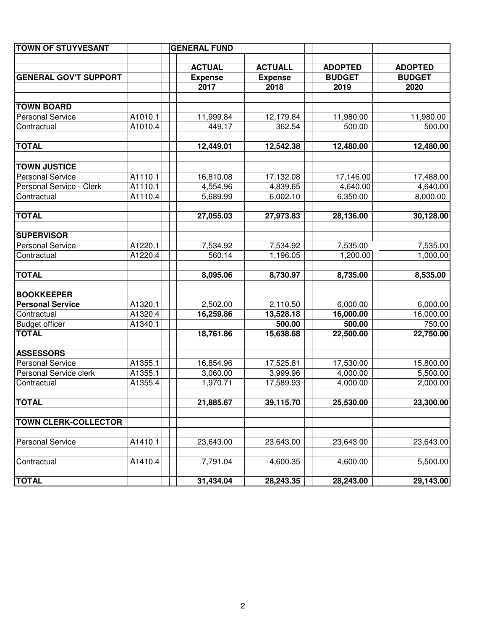| <b>TOWN OF STUYVESANT</b>    |         | <b>GENERAL FUND</b> |                |                |                |
|------------------------------|---------|---------------------|----------------|----------------|----------------|
|                              |         |                     |                |                |                |
|                              |         | <b>ACTUAL</b>       | <b>ACTUALL</b> | <b>ADOPTED</b> | <b>ADOPTED</b> |
| <b>GENERAL GOV'T SUPPORT</b> |         | <b>Expense</b>      | <b>Expense</b> | <b>BUDGET</b>  | <b>BUDGET</b>  |
|                              |         | 2017                | 2018           | 2019           | 2020           |
| <b>TOWN BOARD</b>            |         |                     |                |                |                |
| <b>Personal Service</b>      | A1010.1 | 11,999.84           | 12,179.84      | 11,980.00      | 11,980.00      |
| Contractual                  | A1010.4 | 449.17              | 362.54         | 500.00         | 500.00         |
|                              |         |                     |                |                |                |
| <b>TOTAL</b>                 |         | 12,449.01           | 12,542.38      | 12,480.00      | 12,480.00      |
|                              |         |                     |                |                |                |
| <b>TOWN JUSTICE</b>          |         |                     |                |                |                |
| <b>Personal Service</b>      | A1110.1 | 16,810.08           | 17,132.08      | 17,146.00      | 17,488.00      |
| Personal Service - Clerk     | A1110.1 | 4,554.96            | 4,839.65       | 4,640.00       | 4,640.00       |
| Contractual                  | A1110.4 | 5,689.99            | 6,002.10       | 6,350.00       | 8,000.00       |
|                              |         |                     |                |                |                |
| <b>TOTAL</b>                 |         | 27,055.03           | 27,973.83      | 28,136.00      | 30,128.00      |
| <b>SUPERVISOR</b>            |         |                     |                |                |                |
| <b>Personal Service</b>      | A1220.1 | 7,534.92            | 7,534.92       | 7,535.00       | 7,535.00       |
| Contractual                  | A1220.4 | 560.14              | 1,196.05       | 1,200.00       | 1,000.00       |
|                              |         |                     |                |                |                |
| <b>TOTAL</b>                 |         | 8,095.06            | 8,730.97       | 8,735.00       | 8,535.00       |
|                              |         |                     |                |                |                |
| <b>BOOKKEEPER</b>            |         |                     |                |                |                |
| <b>Personal Service</b>      | A1320.1 | 2,502.00            | 2,110.50       | 6,000.00       | 6,000.00       |
| Contractual                  | A1320.4 | 16,259.86           | 13,528.18      | 16,000.00      | 16,000.00      |
| <b>Budget officer</b>        | A1340.1 |                     | 500.00         | 500.00         | 750.00         |
| <b>TOTAL</b>                 |         | 18,761.86           | 15,638.68      | 22,500.00      | 22,750.00      |
| <b>ASSESSORS</b>             |         |                     |                |                |                |
| <b>Personal Service</b>      | A1355.1 | 16,854.96           | 17,525.81      | 17,530.00      | 15,800.00      |
| Personal Service clerk       | A1355.1 | 3,060.00            | 3,999.96       | 4,000.00       | 5,500.00       |
| Contractual                  | A1355.4 | 1,970.71            | 17,589.93      | 4,000.00       | 2,000.00       |
|                              |         |                     |                |                |                |
| <b>TOTAL</b>                 |         | 21,885.67           | 39,115.70      | 25,530.00      | 23,300.00      |
|                              |         |                     |                |                |                |
| <b>TOWN CLERK-COLLECTOR</b>  |         |                     |                |                |                |
|                              |         |                     |                |                |                |
| <b>Personal Service</b>      | A1410.1 | 23,643.00           | 23,643.00      | 23,643.00      | 23,643.00      |
| Contractual                  | A1410.4 | 7,791.04            | 4,600.35       | 4,600.00       | 5,500.00       |
|                              |         |                     |                |                |                |
| <b>TOTAL</b>                 |         | 31,434.04           | 28,243.35      | 28,243.00      | 29,143.00      |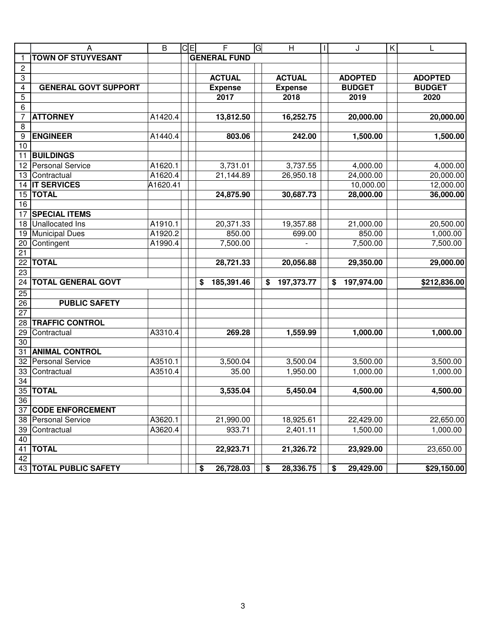| <b>TOWN OF STUYVESANT</b><br><b>GENERAL FUND</b><br>$\overline{c}$<br><b>ACTUAL</b><br><b>ACTUAL</b><br><b>ADOPTED</b><br><b>ADOPTED</b><br>3<br><b>BUDGET</b><br><b>BUDGET</b><br>4<br><b>GENERAL GOVT SUPPORT</b><br><b>Expense</b><br><b>Expense</b><br>5<br>2017<br>2018<br>2019<br>2020<br>6<br>$\overline{7}$<br>A1420.4<br>16,252.75<br>20,000.00<br><b>ATTORNEY</b><br>13,812.50<br>8<br>A1440.4<br>1,500.00<br><b>ENGINEER</b><br>803.06<br>242.00<br>9<br>10<br><b>BUILDINGS</b><br>11<br>A1620.1<br>3,731.01<br>3,737.55<br>4,000.00<br><b>Personal Service</b><br>12<br>24,000.00<br>A1620.4<br>21,144.89<br>26,950.18<br>13<br>Contractual<br><b>IT SERVICES</b><br>10,000.00<br>A1620.41<br>14<br><b>TOTAL</b><br>24,875.90<br>30,687.73<br>28,000.00<br>15<br>16<br><b>SPECIAL ITEMS</b><br>17<br><b>Unallocated Ins</b><br>A1910.1<br>20,371.33<br>19,357.88<br>21,000.00<br>18<br><b>Municipal Dues</b><br>850.00<br>850.00<br>A1920.2<br>699.00<br>19 | A | $\overline{B}$ | $C =$ | F | G | H | $\mathbf{I}$ | J | $\mathsf{K}$ | L                        |
|-------------------------------------------------------------------------------------------------------------------------------------------------------------------------------------------------------------------------------------------------------------------------------------------------------------------------------------------------------------------------------------------------------------------------------------------------------------------------------------------------------------------------------------------------------------------------------------------------------------------------------------------------------------------------------------------------------------------------------------------------------------------------------------------------------------------------------------------------------------------------------------------------------------------------------------------------------------------------|---|----------------|-------|---|---|---|--------------|---|--------------|--------------------------|
|                                                                                                                                                                                                                                                                                                                                                                                                                                                                                                                                                                                                                                                                                                                                                                                                                                                                                                                                                                         |   |                |       |   |   |   |              |   |              |                          |
|                                                                                                                                                                                                                                                                                                                                                                                                                                                                                                                                                                                                                                                                                                                                                                                                                                                                                                                                                                         |   |                |       |   |   |   |              |   |              |                          |
|                                                                                                                                                                                                                                                                                                                                                                                                                                                                                                                                                                                                                                                                                                                                                                                                                                                                                                                                                                         |   |                |       |   |   |   |              |   |              |                          |
|                                                                                                                                                                                                                                                                                                                                                                                                                                                                                                                                                                                                                                                                                                                                                                                                                                                                                                                                                                         |   |                |       |   |   |   |              |   |              |                          |
|                                                                                                                                                                                                                                                                                                                                                                                                                                                                                                                                                                                                                                                                                                                                                                                                                                                                                                                                                                         |   |                |       |   |   |   |              |   |              |                          |
|                                                                                                                                                                                                                                                                                                                                                                                                                                                                                                                                                                                                                                                                                                                                                                                                                                                                                                                                                                         |   |                |       |   |   |   |              |   |              |                          |
|                                                                                                                                                                                                                                                                                                                                                                                                                                                                                                                                                                                                                                                                                                                                                                                                                                                                                                                                                                         |   |                |       |   |   |   |              |   |              | 20,000.00                |
|                                                                                                                                                                                                                                                                                                                                                                                                                                                                                                                                                                                                                                                                                                                                                                                                                                                                                                                                                                         |   |                |       |   |   |   |              |   |              |                          |
|                                                                                                                                                                                                                                                                                                                                                                                                                                                                                                                                                                                                                                                                                                                                                                                                                                                                                                                                                                         |   |                |       |   |   |   |              |   |              | 1,500.00                 |
|                                                                                                                                                                                                                                                                                                                                                                                                                                                                                                                                                                                                                                                                                                                                                                                                                                                                                                                                                                         |   |                |       |   |   |   |              |   |              |                          |
|                                                                                                                                                                                                                                                                                                                                                                                                                                                                                                                                                                                                                                                                                                                                                                                                                                                                                                                                                                         |   |                |       |   |   |   |              |   |              |                          |
|                                                                                                                                                                                                                                                                                                                                                                                                                                                                                                                                                                                                                                                                                                                                                                                                                                                                                                                                                                         |   |                |       |   |   |   |              |   |              | 4,000.00                 |
|                                                                                                                                                                                                                                                                                                                                                                                                                                                                                                                                                                                                                                                                                                                                                                                                                                                                                                                                                                         |   |                |       |   |   |   |              |   |              | 20,000.00                |
|                                                                                                                                                                                                                                                                                                                                                                                                                                                                                                                                                                                                                                                                                                                                                                                                                                                                                                                                                                         |   |                |       |   |   |   |              |   |              | 12,000.00                |
|                                                                                                                                                                                                                                                                                                                                                                                                                                                                                                                                                                                                                                                                                                                                                                                                                                                                                                                                                                         |   |                |       |   |   |   |              |   |              | 36,000.00                |
|                                                                                                                                                                                                                                                                                                                                                                                                                                                                                                                                                                                                                                                                                                                                                                                                                                                                                                                                                                         |   |                |       |   |   |   |              |   |              |                          |
|                                                                                                                                                                                                                                                                                                                                                                                                                                                                                                                                                                                                                                                                                                                                                                                                                                                                                                                                                                         |   |                |       |   |   |   |              |   |              |                          |
|                                                                                                                                                                                                                                                                                                                                                                                                                                                                                                                                                                                                                                                                                                                                                                                                                                                                                                                                                                         |   |                |       |   |   |   |              |   |              | 20,500.00                |
|                                                                                                                                                                                                                                                                                                                                                                                                                                                                                                                                                                                                                                                                                                                                                                                                                                                                                                                                                                         |   |                |       |   |   |   |              |   |              | 1,000.00                 |
| Contingent<br>20<br>A1990.4<br>7,500.00<br>7,500.00                                                                                                                                                                                                                                                                                                                                                                                                                                                                                                                                                                                                                                                                                                                                                                                                                                                                                                                     |   |                |       |   |   |   |              |   |              | 7,500.00                 |
| 21                                                                                                                                                                                                                                                                                                                                                                                                                                                                                                                                                                                                                                                                                                                                                                                                                                                                                                                                                                      |   |                |       |   |   |   |              |   |              |                          |
| $\overline{22}$<br><b>TOTAL</b><br>28,721.33<br>29,350.00<br>20,056.88                                                                                                                                                                                                                                                                                                                                                                                                                                                                                                                                                                                                                                                                                                                                                                                                                                                                                                  |   |                |       |   |   |   |              |   |              | 29,000.00                |
| 23                                                                                                                                                                                                                                                                                                                                                                                                                                                                                                                                                                                                                                                                                                                                                                                                                                                                                                                                                                      |   |                |       |   |   |   |              |   |              |                          |
| <b>TOTAL GENERAL GOVT</b><br>24<br>185,391.46<br>197,373.77<br>197,974.00<br>\$<br>\$<br>\$                                                                                                                                                                                                                                                                                                                                                                                                                                                                                                                                                                                                                                                                                                                                                                                                                                                                             |   |                |       |   |   |   |              |   |              | $\overline{$}212,836.00$ |
| 25                                                                                                                                                                                                                                                                                                                                                                                                                                                                                                                                                                                                                                                                                                                                                                                                                                                                                                                                                                      |   |                |       |   |   |   |              |   |              |                          |
| <b>PUBLIC SAFETY</b><br>26                                                                                                                                                                                                                                                                                                                                                                                                                                                                                                                                                                                                                                                                                                                                                                                                                                                                                                                                              |   |                |       |   |   |   |              |   |              |                          |
| 27                                                                                                                                                                                                                                                                                                                                                                                                                                                                                                                                                                                                                                                                                                                                                                                                                                                                                                                                                                      |   |                |       |   |   |   |              |   |              |                          |
| <b>TRAFFIC CONTROL</b><br>28                                                                                                                                                                                                                                                                                                                                                                                                                                                                                                                                                                                                                                                                                                                                                                                                                                                                                                                                            |   |                |       |   |   |   |              |   |              |                          |
| 29<br>A3310.4<br>269.28<br>1,000.00<br>Contractual<br>1,559.99                                                                                                                                                                                                                                                                                                                                                                                                                                                                                                                                                                                                                                                                                                                                                                                                                                                                                                          |   |                |       |   |   |   |              |   |              | 1,000.00                 |
| 30                                                                                                                                                                                                                                                                                                                                                                                                                                                                                                                                                                                                                                                                                                                                                                                                                                                                                                                                                                      |   |                |       |   |   |   |              |   |              |                          |
| <b>ANIMAL CONTROL</b><br>31                                                                                                                                                                                                                                                                                                                                                                                                                                                                                                                                                                                                                                                                                                                                                                                                                                                                                                                                             |   |                |       |   |   |   |              |   |              |                          |
| <b>Personal Service</b><br>32<br>A3510.1<br>3,500.04<br>3,500.04<br>3,500.00                                                                                                                                                                                                                                                                                                                                                                                                                                                                                                                                                                                                                                                                                                                                                                                                                                                                                            |   |                |       |   |   |   |              |   |              | 3,500.00                 |
| A3510.4<br>35.00<br>1,950.00<br>1,000.00<br>33<br>Contractual                                                                                                                                                                                                                                                                                                                                                                                                                                                                                                                                                                                                                                                                                                                                                                                                                                                                                                           |   |                |       |   |   |   |              |   |              | 1,000.00                 |
| 34<br><b>TOTAL</b>                                                                                                                                                                                                                                                                                                                                                                                                                                                                                                                                                                                                                                                                                                                                                                                                                                                                                                                                                      |   |                |       |   |   |   |              |   |              |                          |
| $\overline{35}$<br>3,535.04<br>5,450.04<br>4,500.00                                                                                                                                                                                                                                                                                                                                                                                                                                                                                                                                                                                                                                                                                                                                                                                                                                                                                                                     |   |                |       |   |   |   |              |   |              | 4,500.00                 |
| 36                                                                                                                                                                                                                                                                                                                                                                                                                                                                                                                                                                                                                                                                                                                                                                                                                                                                                                                                                                      |   |                |       |   |   |   |              |   |              |                          |
| 37<br><b>CODE ENFORCEMENT</b><br>A3620.1<br>38<br><b>Personal Service</b><br>21,990.00<br>18,925.61<br>22,429.00                                                                                                                                                                                                                                                                                                                                                                                                                                                                                                                                                                                                                                                                                                                                                                                                                                                        |   |                |       |   |   |   |              |   |              | 22,650.00                |
| 39<br>Contractual<br>A3620.4<br>933.71<br>2,401.11<br>1,500.00                                                                                                                                                                                                                                                                                                                                                                                                                                                                                                                                                                                                                                                                                                                                                                                                                                                                                                          |   |                |       |   |   |   |              |   |              | 1,000.00                 |
| 40                                                                                                                                                                                                                                                                                                                                                                                                                                                                                                                                                                                                                                                                                                                                                                                                                                                                                                                                                                      |   |                |       |   |   |   |              |   |              |                          |
| 41<br><b>TOTAL</b><br>22,923.71<br>21,326.72<br>23,929.00                                                                                                                                                                                                                                                                                                                                                                                                                                                                                                                                                                                                                                                                                                                                                                                                                                                                                                               |   |                |       |   |   |   |              |   |              | 23,650.00                |
| 42                                                                                                                                                                                                                                                                                                                                                                                                                                                                                                                                                                                                                                                                                                                                                                                                                                                                                                                                                                      |   |                |       |   |   |   |              |   |              |                          |
| 43<br><b>TOTAL PUBLIC SAFETY</b><br>26,728.03<br>28,336.75<br>29,429.00<br>\$<br>\$<br>\$                                                                                                                                                                                                                                                                                                                                                                                                                                                                                                                                                                                                                                                                                                                                                                                                                                                                               |   |                |       |   |   |   |              |   |              | \$29,150.00              |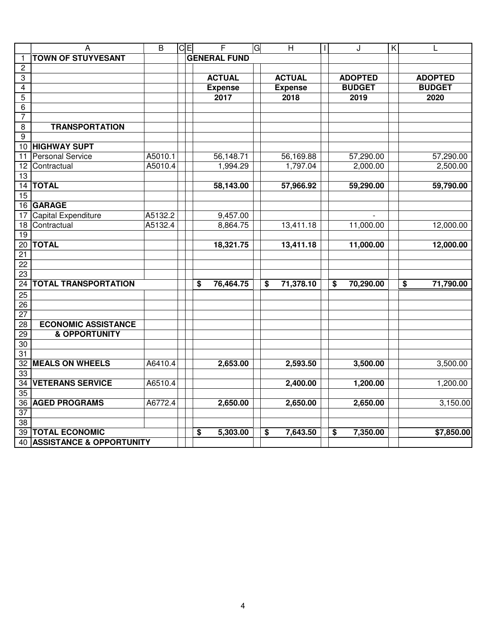|                 | $\overline{A}$                      | $\overline{\mathsf{B}}$ | icіEl | $\overline{F}$                                    | G<br>$\overline{\overline{\mathsf{H}}}$ | J<br>$\mathbf{I}$                                 | $\overline{\mathsf{K}}$ | L                            |
|-----------------|-------------------------------------|-------------------------|-------|---------------------------------------------------|-----------------------------------------|---------------------------------------------------|-------------------------|------------------------------|
| 1               | <b>TOWN OF STUYVESANT</b>           |                         |       | <b>GENERAL FUND</b>                               |                                         |                                                   |                         |                              |
| $\overline{c}$  |                                     |                         |       |                                                   |                                         |                                                   |                         |                              |
| 3               |                                     |                         |       | <b>ACTUAL</b>                                     | <b>ACTUAL</b>                           | <b>ADOPTED</b>                                    |                         | <b>ADOPTED</b>               |
| $\overline{4}$  |                                     |                         |       | <b>Expense</b>                                    | <b>Expense</b>                          | <b>BUDGET</b>                                     |                         | <b>BUDGET</b>                |
| 5               |                                     |                         |       | 2017                                              | 2018                                    | 2019                                              |                         | 2020                         |
| 6               |                                     |                         |       |                                                   |                                         |                                                   |                         |                              |
| $\overline{7}$  |                                     |                         |       |                                                   |                                         |                                                   |                         |                              |
| 8               | <b>TRANSPORTATION</b>               |                         |       |                                                   |                                         |                                                   |                         |                              |
| $\overline{9}$  |                                     |                         |       |                                                   |                                         |                                                   |                         |                              |
| $\overline{10}$ | <b>HIGHWAY SUPT</b>                 |                         |       |                                                   |                                         |                                                   |                         |                              |
| $\overline{11}$ | <b>Personal Service</b>             | A5010.1                 |       | 56,148.71                                         | 56,169.88                               | 57,290.00                                         |                         | 57,290.00                    |
| 12              | Contractual                         | A5010.4                 |       | 1,994.29                                          | 1,797.04                                | 2,000.00                                          |                         | 2,500.00                     |
| $\overline{13}$ |                                     |                         |       |                                                   |                                         |                                                   |                         |                              |
| 14              | <b>TOTAL</b>                        |                         |       | 58,143.00                                         | 57,966.92                               | 59,290.00                                         |                         | 59,790.00                    |
| $\overline{15}$ |                                     |                         |       |                                                   |                                         |                                                   |                         |                              |
| 16              | <b>GARAGE</b>                       |                         |       |                                                   |                                         |                                                   |                         |                              |
| 17              | <b>Capital Expenditure</b>          | A5132.2                 |       | 9,457.00                                          |                                         |                                                   |                         |                              |
| 18              | Contractual                         | A5132.4                 |       | 8,864.75                                          | 13,411.18                               | 11,000.00                                         |                         | 12,000.00                    |
| $\overline{19}$ |                                     |                         |       |                                                   |                                         |                                                   |                         |                              |
| 20              | <b>TOTAL</b>                        |                         |       | 18,321.75                                         | 13,411.18                               | 11,000.00                                         |                         | 12,000.00                    |
| $\overline{21}$ |                                     |                         |       |                                                   |                                         |                                                   |                         |                              |
| $\overline{22}$ |                                     |                         |       |                                                   |                                         |                                                   |                         |                              |
| 23              |                                     |                         |       |                                                   |                                         |                                                   |                         |                              |
| $\overline{24}$ | <b>TOTAL TRANSPORTATION</b>         |                         |       | 76,464.75<br>$\overline{\boldsymbol{\mathsf{s}}}$ | 71,378.10<br>\$                         | $\overline{\boldsymbol{\mathsf{s}}}$<br>70,290.00 |                         | $\overline{\$}$<br>71,790.00 |
| 25              |                                     |                         |       |                                                   |                                         |                                                   |                         |                              |
| $\overline{26}$ |                                     |                         |       |                                                   |                                         |                                                   |                         |                              |
| $\overline{27}$ |                                     |                         |       |                                                   |                                         |                                                   |                         |                              |
| 28              | <b>ECONOMIC ASSISTANCE</b>          |                         |       |                                                   |                                         |                                                   |                         |                              |
| 29              | <b>&amp; OPPORTUNITY</b>            |                         |       |                                                   |                                         |                                                   |                         |                              |
| 30              |                                     |                         |       |                                                   |                                         |                                                   |                         |                              |
| 31              |                                     |                         |       |                                                   |                                         |                                                   |                         |                              |
| 32              | <b>MEALS ON WHEELS</b>              | A6410.4                 |       | 2,653.00                                          | 2,593.50                                | 3,500.00                                          |                         | 3,500.00                     |
| 33              |                                     |                         |       |                                                   |                                         |                                                   |                         |                              |
| 34              | <b>VETERANS SERVICE</b>             | A6510.4                 |       |                                                   | 2,400.00                                | 1,200.00                                          |                         | 1,200.00                     |
| $\overline{35}$ |                                     |                         |       |                                                   |                                         |                                                   |                         |                              |
| $\overline{36}$ | <b>AGED PROGRAMS</b>                | A6772.4                 |       | 2,650.00                                          | 2,650.00                                | 2,650.00                                          |                         | 3,150.00                     |
| $\overline{37}$ |                                     |                         |       |                                                   |                                         |                                                   |                         |                              |
| $\overline{38}$ |                                     |                         |       |                                                   |                                         |                                                   |                         |                              |
| 39              | <b>TOTAL ECONOMIC</b>               |                         |       | 5,303.00<br>\$                                    | 7,643.50<br>\$                          | 7,350.00<br>\$                                    |                         | \$7,850.00                   |
| 40              | <b>ASSISTANCE &amp; OPPORTUNITY</b> |                         |       |                                                   |                                         |                                                   |                         |                              |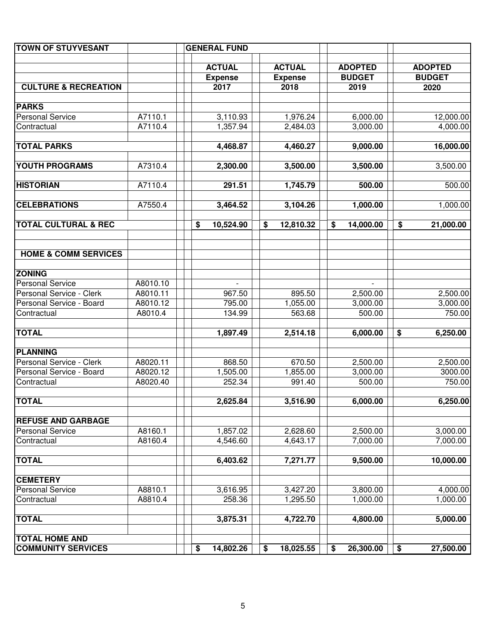| <b>TOWN OF STUYVESANT</b>       |          | <b>GENERAL FUND</b> |                 |                 |                 |
|---------------------------------|----------|---------------------|-----------------|-----------------|-----------------|
|                                 |          |                     |                 |                 |                 |
|                                 |          | <b>ACTUAL</b>       | <b>ACTUAL</b>   | <b>ADOPTED</b>  | <b>ADOPTED</b>  |
|                                 |          | <b>Expense</b>      | <b>Expense</b>  | <b>BUDGET</b>   | <b>BUDGET</b>   |
| <b>CULTURE &amp; RECREATION</b> |          | 2017                | 2018            | 2019            | 2020            |
| <b>PARKS</b>                    |          |                     |                 |                 |                 |
| <b>Personal Service</b>         | A7110.1  | 3,110.93            | 1,976.24        | 6,000.00        | 12,000.00       |
| Contractual                     | A7110.4  | 1,357.94            | 2,484.03        | 3,000.00        | 4,000.00        |
| <b>TOTAL PARKS</b>              |          | 4,468.87            | 4,460.27        | 9,000.00        | 16,000.00       |
|                                 |          |                     |                 |                 |                 |
| <b>YOUTH PROGRAMS</b>           | A7310.4  | 2,300.00            | 3,500.00        | 3,500.00        | 3,500.00        |
| <b>HISTORIAN</b>                | A7110.4  | 291.51              | 1,745.79        | 500.00          | 500.00          |
| <b>CELEBRATIONS</b>             | A7550.4  | 3,464.52            | 3,104.26        | 1,000.00        | 1,000.00        |
| <b>TOTAL CULTURAL &amp; REC</b> |          | \$<br>10,524.90     | \$<br>12,810.32 | \$<br>14,000.00 | \$<br>21,000.00 |
|                                 |          |                     |                 |                 |                 |
| <b>HOME &amp; COMM SERVICES</b> |          |                     |                 |                 |                 |
| <b>ZONING</b>                   |          |                     |                 |                 |                 |
| Personal Service                | A8010.10 | $\overline{a}$      |                 |                 |                 |
| Personal Service - Clerk        | A8010.11 | 967.50              | 895.50          | 2,500.00        | 2,500.00        |
| Personal Service - Board        | A8010.12 | 795.00              | 1,055.00        | 3,000.00        | 3,000.00        |
| Contractual                     | A8010.4  | 134.99              | 563.68          | 500.00          | 750.00          |
| <b>TOTAL</b>                    |          | 1,897.49            | 2,514.18        | 6,000.00        | \$<br>6,250.00  |
|                                 |          |                     |                 |                 |                 |
| <b>PLANNING</b>                 |          |                     |                 |                 |                 |
| Personal Service - Clerk        | A8020.11 | 868.50              | 670.50          | 2,500.00        | 2,500.00        |
| Personal Service - Board        | A8020.12 | 1,505.00            | 1,855.00        | 3,000.00        | 3000.00         |
| Contractual                     | A8020.40 | 252.34              | 991.40          | 500.00          | 750.00          |
| <b>TOTAL</b>                    |          | 2,625.84            | 3,516.90        | 6,000.00        | 6,250.00        |
| <b>REFUSE AND GARBAGE</b>       |          |                     |                 |                 |                 |
| <b>Personal Service</b>         | A8160.1  | 1,857.02            | 2,628.60        | 2,500.00        | 3,000.00        |
| Contractual                     | A8160.4  | 4,546.60            | 4,643.17        | 7,000.00        | 7,000.00        |
| <b>TOTAL</b>                    |          | 6,403.62            | 7,271.77        | 9,500.00        | 10,000.00       |
| <b>CEMETERY</b>                 |          |                     |                 |                 |                 |
| <b>Personal Service</b>         | A8810.1  | 3,616.95            | 3,427.20        | 3,800.00        | 4,000.00        |
| Contractual                     | A8810.4  | 258.36              | 1,295.50        | 1,000.00        | 1,000.00        |
| <b>TOTAL</b>                    |          | 3,875.31            | 4,722.70        | 4,800.00        | 5,000.00        |
| <b>TOTAL HOME AND</b>           |          |                     |                 |                 |                 |
| <b>COMMUNITY SERVICES</b>       |          | \$<br>14,802.26     | \$<br>18,025.55 | \$<br>26,300.00 | \$<br>27,500.00 |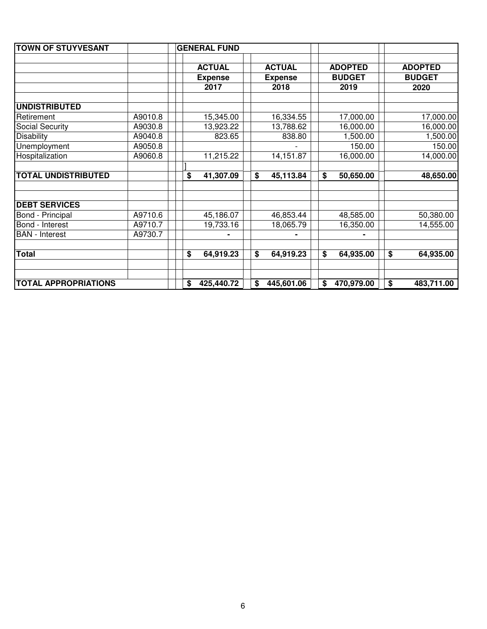| <b>TOWN OF STUYVESANT</b>   |         | <b>GENERAL FUND</b> |                  |                  |                  |
|-----------------------------|---------|---------------------|------------------|------------------|------------------|
|                             |         |                     |                  |                  |                  |
|                             |         | <b>ACTUAL</b>       | <b>ACTUAL</b>    | <b>ADOPTED</b>   | <b>ADOPTED</b>   |
|                             |         | <b>Expense</b>      | <b>Expense</b>   | <b>BUDGET</b>    | <b>BUDGET</b>    |
|                             |         | 2017                | 2018             | 2019             | 2020             |
|                             |         |                     |                  |                  |                  |
| <b>UNDISTRIBUTED</b>        |         |                     |                  |                  |                  |
| Retirement                  | A9010.8 | 15,345.00           | 16,334.55        | 17,000.00        | 17,000.00        |
| <b>Social Security</b>      | A9030.8 | 13,923.22           | 13,788.62        | 16,000.00        | 16,000.00        |
| <b>Disability</b>           | A9040.8 | 823.65              | 838.80           | 1,500.00         | 1,500.00         |
| Unemployment                | A9050.8 |                     |                  | 150.00           | 150.00           |
| Hospitalization             | A9060.8 | 11,215.22           | 14,151.87        | 16,000.00        | 14,000.00        |
|                             |         |                     |                  |                  |                  |
| <b>TOTAL UNDISTRIBUTED</b>  |         | \$<br>41,307.09     | \$<br>45,113.84  | \$<br>50,650.00  | 48,650.00        |
|                             |         |                     |                  |                  |                  |
|                             |         |                     |                  |                  |                  |
| <b>DEBT SERVICES</b>        |         |                     |                  |                  |                  |
| Bond - Principal            | A9710.6 | 45,186.07           | 46,853.44        | 48,585.00        | 50,380.00        |
| Bond - Interest             | A9710.7 | 19,733.16           | 18,065.79        | 16,350.00        | 14,555.00        |
| <b>BAN</b> - Interest       | A9730.7 |                     |                  |                  |                  |
|                             |         |                     |                  |                  |                  |
| <b>Total</b>                |         | \$<br>64,919.23     | \$<br>64,919.23  | \$<br>64,935.00  | \$<br>64,935.00  |
|                             |         |                     |                  |                  |                  |
|                             |         |                     |                  |                  |                  |
| <b>TOTAL APPROPRIATIONS</b> |         | \$<br>425,440.72    | \$<br>445,601.06 | \$<br>470,979.00 | \$<br>483,711.00 |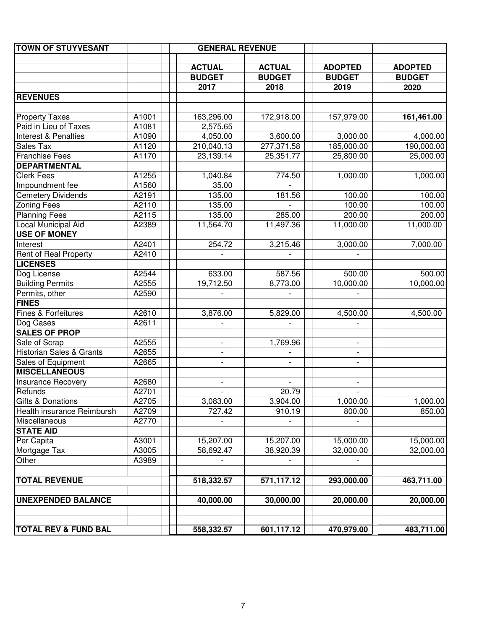| <b>TOWN OF STUYVESANT</b>           |       | <b>GENERAL REVENUE</b>   |                          |                          |                                 |
|-------------------------------------|-------|--------------------------|--------------------------|--------------------------|---------------------------------|
|                                     |       | <b>ACTUAL</b>            | <b>ACTUAL</b>            | <b>ADOPTED</b>           |                                 |
|                                     |       | <b>BUDGET</b>            | <b>BUDGET</b>            | <b>BUDGET</b>            | <b>ADOPTED</b><br><b>BUDGET</b> |
|                                     |       | 2017                     | 2018                     | 2019                     | 2020                            |
| <b>REVENUES</b>                     |       |                          |                          |                          |                                 |
|                                     |       |                          |                          |                          |                                 |
| <b>Property Taxes</b>               | A1001 | 163,296.00               | 172,918.00               | 157,979.00               | 161,461.00                      |
| Paid in Lieu of Taxes               | A1081 | 2,575.65                 |                          |                          |                                 |
| <b>Interest &amp; Penalties</b>     | A1090 | 4,050.00                 | 3,600.00                 | 3,000.00                 | 4,000.00                        |
| Sales Tax                           | A1120 | 210,040.13               | 277,371.58               | 185,000.00               | 190,000.00                      |
| <b>Franchise Fees</b>               | A1170 | 23,139.14                | 25,351.77                | 25,800.00                | 25,000.00                       |
| <b>DEPARTMENTAL</b>                 |       |                          |                          |                          |                                 |
| <b>Clerk Fees</b>                   | A1255 | 1,040.84                 | 774.50                   | 1,000.00                 | 1,000.00                        |
| Impoundment fee                     | A1560 | 35.00                    |                          |                          |                                 |
| <b>Cemetery Dividends</b>           | A2191 | 135.00                   | 181.56                   | 100.00                   | 100.00                          |
| <b>Zoning Fees</b>                  | A2110 | 135.00                   |                          | 100.00                   | 100.00                          |
| <b>Planning Fees</b>                | A2115 | 135.00                   | 285.00                   | 200.00                   | 200.00                          |
| Local Municipal Aid                 | A2389 | 11,564.70                | 11,497.36                | 11,000.00                | 11,000.00                       |
| <b>USE OF MONEY</b>                 |       |                          |                          |                          |                                 |
| Interest                            | A2401 | 254.72                   | 3,215.46                 | 3,000.00                 | 7,000.00                        |
| Rent of Real Property               | A2410 |                          |                          |                          |                                 |
| <b>LICENSES</b>                     |       |                          |                          |                          |                                 |
| Dog License                         | A2544 | 633.00                   | 587.56                   | 500.00                   | 500.00                          |
| <b>Building Permits</b>             | A2555 | 19,712.50                | 8,773.00                 | 10,000.00                | 10,000.00                       |
| Permits, other                      | A2590 |                          |                          |                          |                                 |
| <b>FINES</b>                        |       |                          |                          |                          |                                 |
| Fines & Forfeitures                 | A2610 | 3,876.00                 | 5,829.00                 | 4,500.00                 | 4,500.00                        |
| Dog Cases                           | A2611 |                          |                          |                          |                                 |
| <b>SALES OF PROP</b>                |       |                          |                          |                          |                                 |
| Sale of Scrap                       | A2555 | $\overline{\phantom{0}}$ | 1,769.96                 | $\overline{\phantom{a}}$ |                                 |
| <b>Historian Sales &amp; Grants</b> | A2655 | $\overline{\phantom{a}}$ |                          | $\overline{\phantom{a}}$ |                                 |
| Sales of Equipment                  | A2665 | $\overline{\phantom{a}}$ |                          | $\overline{\phantom{a}}$ |                                 |
| <b>MISCELLANEOUS</b>                |       |                          |                          |                          |                                 |
| <b>Insurance Recovery</b>           | A2680 | $\overline{\phantom{0}}$ | $\overline{\phantom{a}}$ | $\overline{\phantom{a}}$ |                                 |
| Refunds                             | A2701 | $\overline{\phantom{a}}$ | 20.79                    | $\overline{\phantom{a}}$ |                                 |
| <b>Gifts &amp; Donations</b>        | A2705 | 3,083.00                 | 3,904.00                 | 1,000.00                 | 1,000.00                        |
| Health insurance Reimbursh          | A2709 | 727.42                   | 910.19                   | 800.00                   | 850.00                          |
| Miscellaneous                       | A2770 |                          |                          |                          |                                 |
| <b>STATE AID</b>                    |       |                          |                          |                          |                                 |
| Per Capita                          | A3001 | 15,207.00                | 15,207.00                | 15,000.00                | 15,000.00                       |
| Mortgage Tax                        | A3005 | 58,692.47                | 38,920.39                | 32,000.00                | 32,000.00                       |
| Other                               | A3989 |                          |                          |                          |                                 |
| <b>TOTAL REVENUE</b>                |       | 518,332.57               | 571,117.12               | 293,000.00               | 463,711.00                      |
|                                     |       |                          |                          |                          |                                 |
| <b>UNEXPENDED BALANCE</b>           |       | 40,000.00                | 30,000.00                | 20,000.00                | 20,000.00                       |
| <b>TOTAL REV &amp; FUND BAL</b>     |       | 558,332.57               | 601,117.12               | 470,979.00               | 483,711.00                      |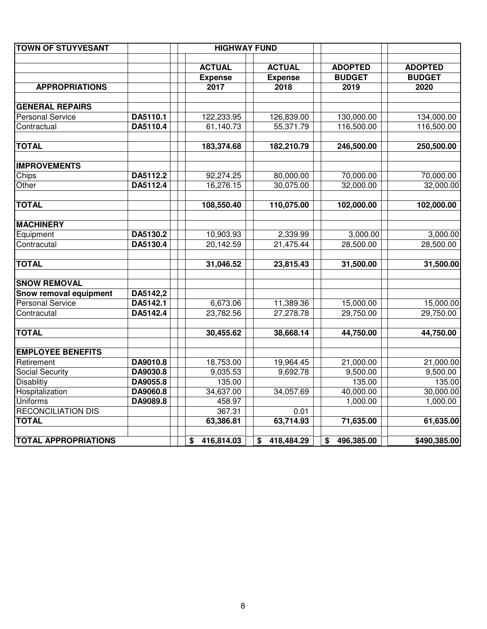| <b>TOWN OF STUYVESANT</b>   |                      | <b>HIGHWAY FUND</b> |                  |                  |                |
|-----------------------------|----------------------|---------------------|------------------|------------------|----------------|
|                             |                      | <b>ACTUAL</b>       | <b>ACTUAL</b>    | <b>ADOPTED</b>   | <b>ADOPTED</b> |
|                             |                      | <b>Expense</b>      | <b>Expense</b>   | <b>BUDGET</b>    | <b>BUDGET</b>  |
| <b>APPROPRIATIONS</b>       |                      | 2017                | 2018             | 2019             | 2020           |
| <b>GENERAL REPAIRS</b>      |                      |                     |                  |                  |                |
| <b>Personal Service</b>     |                      |                     |                  | 130,000.00       |                |
|                             | DA5110.1<br>DA5110.4 | 122,233.95          | 126,839.00       |                  | 134,000.00     |
| Contractual                 |                      | 61,140.73           | 55,371.79        | 116,500.00       | 116,500.00     |
| <b>TOTAL</b>                |                      | 183,374.68          | 182,210.79       | 246,500.00       | 250,500.00     |
| <b>IMPROVEMENTS</b>         |                      |                     |                  |                  |                |
| Chips                       | DA5112.2             | 92,274.25           | 80,000.00        | 70,000.00        | 70,000.00      |
| Other                       | DA5112.4             | 16,276.15           | 30,075.00        | 32,000.00        | 32,000.00      |
| <b>TOTAL</b>                |                      | 108,550.40          | 110,075.00       | 102,000.00       | 102,000.00     |
| <b>MACHINERY</b>            |                      |                     |                  |                  |                |
| Equipment                   | DA5130.2             | 10,903.93           | 2,339.99         | 3,000.00         | 3,000.00       |
| Contracutal                 | DA5130.4             | 20,142.59           | 21,475.44        | 28,500.00        | 28,500.00      |
|                             |                      |                     |                  |                  |                |
| <b>TOTAL</b>                |                      | 31,046.52           | 23,815.43        | 31,500.00        | 31,500.00      |
| <b>SNOW REMOVAL</b>         |                      |                     |                  |                  |                |
| Snow removal equipment      | DA5142,2             |                     |                  |                  |                |
| <b>Personal Service</b>     | DA5142.1             | 6,673.06            | 11,389.36        | 15,000.00        | 15,000.00      |
| Contracutal                 | DA5142.4             | 23,782.56           | 27,278.78        | 29,750.00        | 29,750.00      |
| <b>TOTAL</b>                |                      | 30,455.62           | 38,668.14        | 44,750.00        | 44,750.00      |
| <b>EMPLOYEE BENEFITS</b>    |                      |                     |                  |                  |                |
| Retirement                  | DA9010.8             | 18,753.00           | 19,964.45        | 21,000.00        | 21,000.00      |
| Social Security             | DA9030.8             | 9,035.53            | 9,692.78         | 9,500.00         | 9,500.00       |
| <b>Disablitiy</b>           | DA9055.8             | 135.00              |                  | 135.00           | 135.00         |
| Hospitalization             | DA9060.8             | 34,637.00           | 34,057.69        | 40,000.00        | 30,000.00      |
| <b>Uniforms</b>             | DA9089.8             | 458.97              |                  | 1,000.00         | 1,000.00       |
| <b>RECONCILIATION DIS</b>   |                      | 367.31              | 0.01             |                  |                |
| <b>TOTAL</b>                |                      | 63,386.81           | 63,714.93        | 71,635.00        | 61,635.00      |
| <b>TOTAL APPROPRIATIONS</b> |                      | 416,814.03<br>\$    | \$<br>418,484.29 | 496,385.00<br>\$ | \$490,385.00   |
|                             |                      |                     |                  |                  |                |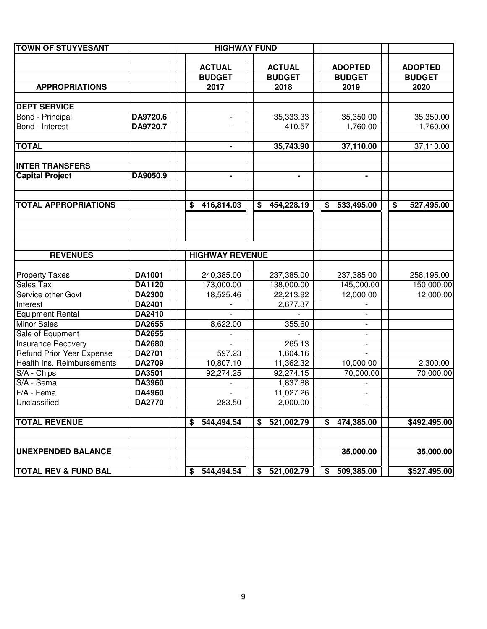| <b>TOWN OF STUYVESANT</b>        |               |    | <b>HIGHWAY FUND</b>      |                  |    |                          |                  |
|----------------------------------|---------------|----|--------------------------|------------------|----|--------------------------|------------------|
|                                  |               |    |                          |                  |    |                          |                  |
|                                  |               |    | <b>ACTUAL</b>            | <b>ACTUAL</b>    |    | <b>ADOPTED</b>           | <b>ADOPTED</b>   |
|                                  |               |    | <b>BUDGET</b>            | <b>BUDGET</b>    |    | <b>BUDGET</b>            | <b>BUDGET</b>    |
| <b>APPROPRIATIONS</b>            |               |    | 2017                     | 2018             |    | 2019                     | 2020             |
|                                  |               |    |                          |                  |    |                          |                  |
| <b>DEPT SERVICE</b>              |               |    |                          |                  |    |                          |                  |
| Bond - Principal                 | DA9720.6      |    |                          | 35,333.33        |    | 35,350.00                | 35,350.00        |
| Bond - Interest                  | DA9720.7      |    |                          | 410.57           |    | 1,760.00                 | 1,760.00         |
| <b>TOTAL</b>                     |               |    |                          | 35,743.90        |    | 37,110.00                | 37,110.00        |
| <b>INTER TRANSFERS</b>           |               |    |                          |                  |    |                          |                  |
| <b>Capital Project</b>           | DA9050.9      |    |                          | ۰                |    | $\blacksquare$           |                  |
|                                  |               |    |                          |                  |    |                          |                  |
| <b>TOTAL APPROPRIATIONS</b>      |               | \$ | 416,814.03               | \$<br>454,228.19 | \$ | 533,495.00               | \$<br>527,495.00 |
|                                  |               |    |                          |                  |    |                          |                  |
| <b>REVENUES</b>                  |               |    | <b>HIGHWAY REVENUE</b>   |                  |    |                          |                  |
| <b>Property Taxes</b>            | DA1001        |    | 240,385.00               | 237,385.00       |    | 237,385.00               | 258,195.00       |
| Sales Tax                        | DA1120        |    | 173,000.00               | 138,000.00       |    | 145,000.00               | 150,000.00       |
| Service other Govt               | <b>DA2300</b> |    | 18,525.46                | 22,213.92        |    | 12,000.00                | 12,000.00        |
| Interest                         | DA2401        |    |                          | 2,677.37         |    |                          |                  |
| <b>Equipment Rental</b>          | <b>DA2410</b> |    |                          |                  |    |                          |                  |
| <b>Minor Sales</b>               | DA2655        |    | 8,622.00                 | 355.60           |    |                          |                  |
| Sale of Equpment                 | DA2655        |    |                          |                  |    |                          |                  |
| <b>Insurance Recovery</b>        | DA2680        |    |                          | 265.13           |    |                          |                  |
| <b>Refund Prior Year Expense</b> | <b>DA2701</b> |    | 597.23                   | 1,604.16         |    |                          |                  |
| Health Ins. Reimbursements       | DA2709        |    | 10,807.10                | 11,362.32        |    | 10,000.00                | 2,300.00         |
| S/A - Chips                      | DA3501        |    | 92,274.25                | 92,274.15        |    | 70,000.00                | 70,000.00        |
| S/A - Sema                       | DA3960        |    |                          | 1,837.88         |    |                          |                  |
| F/A - Fema                       | DA4960        |    | $\overline{\phantom{a}}$ | 11,027.26        |    | $\overline{\phantom{a}}$ |                  |
| Unclassified                     | DA2770        |    | 283.50                   | 2,000.00         |    |                          |                  |
| <b>TOTAL REVENUE</b>             |               | S  | 544,494.54               | \$<br>521,002.79 | S  | 474,385.00               | \$492,495.00     |
| <b>UNEXPENDED BALANCE</b>        |               |    |                          |                  |    | 35,000.00                | 35,000.00        |
| <b>TOTAL REV &amp; FUND BAL</b>  |               | \$ | 544,494.54               | \$<br>521,002.79 | \$ | 509,385.00               | \$527,495.00     |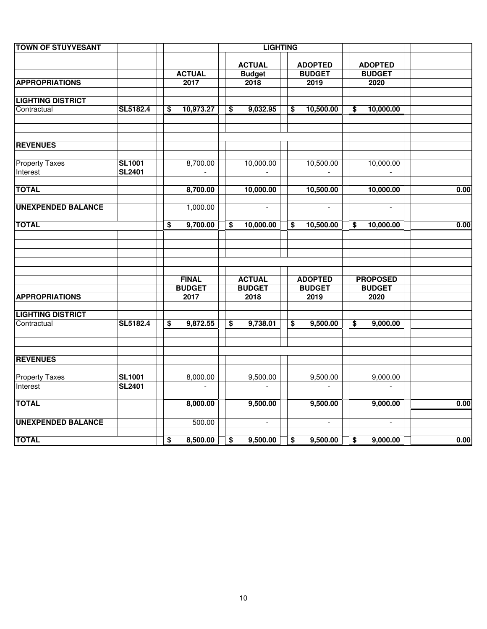| <b>TOWN OF STUYVESANT</b> |               |                 |                                      | <b>LIGHTING</b> |                                      |                          |                 |      |
|---------------------------|---------------|-----------------|--------------------------------------|-----------------|--------------------------------------|--------------------------|-----------------|------|
|                           |               |                 |                                      | <b>ACTUAL</b>   |                                      | <b>ADOPTED</b>           | <b>ADOPTED</b>  |      |
|                           |               | <b>ACTUAL</b>   |                                      | <b>Budget</b>   |                                      | <b>BUDGET</b>            | <b>BUDGET</b>   |      |
| <b>APPROPRIATIONS</b>     |               | 2017            |                                      | 2018            |                                      | 2019                     | 2020            |      |
| <b>LIGHTING DISTRICT</b>  |               |                 |                                      |                 |                                      |                          |                 |      |
| Contractual               | SL5182.4      | \$<br>10,973.27 | $\overline{\boldsymbol{\mathsf{s}}}$ | 9,032.95        | \$                                   | 10,500.00                | \$<br>10,000.00 |      |
| <b>REVENUES</b>           |               |                 |                                      |                 |                                      |                          |                 |      |
| <b>Property Taxes</b>     | <b>SL1001</b> | 8,700.00        |                                      | 10,000.00       |                                      | 10,500.00                | 10,000.00       |      |
| Interest                  | <b>SL2401</b> | $\mathbf{r}$    |                                      | $\sim$          |                                      | $\overline{\phantom{a}}$ | $\mathbf{r}$    |      |
| <b>TOTAL</b>              |               | 8,700.00        |                                      | 10,000.00       |                                      | 10,500.00                | 10,000.00       | 0.00 |
| <b>UNEXPENDED BALANCE</b> |               | 1,000.00        |                                      | $\omega$        |                                      | $\overline{\phantom{a}}$ | $\sim$          |      |
| <b>TOTAL</b>              |               | \$<br>9,700.00  | \$                                   | 10,000.00       | \$                                   | 10,500.00                | \$<br>10,000.00 | 0.00 |
|                           |               |                 |                                      |                 |                                      |                          |                 |      |
|                           |               | <b>FINAL</b>    |                                      | <b>ACTUAL</b>   |                                      | <b>ADOPTED</b>           | <b>PROPOSED</b> |      |
|                           |               | <b>BUDGET</b>   |                                      | <b>BUDGET</b>   |                                      | <b>BUDGET</b>            | <b>BUDGET</b>   |      |
| <b>APPROPRIATIONS</b>     |               | 2017            |                                      | 2018            |                                      | 2019                     | 2020            |      |
| <b>LIGHTING DISTRICT</b>  |               |                 |                                      |                 |                                      |                          |                 |      |
| Contractual               | SL5182.4      | \$<br>9,872.55  | \$                                   | 9,738.01        | \$                                   | 9,500.00                 | \$<br>9,000.00  |      |
| <b>REVENUES</b>           |               |                 |                                      |                 |                                      |                          |                 |      |
| <b>Property Taxes</b>     | <b>SL1001</b> | 8,000.00        |                                      | 9,500.00        |                                      | 9,500.00                 | 9,000.00        |      |
| Interest                  | <b>SL2401</b> | $\sim$          |                                      |                 |                                      |                          |                 |      |
| <b>TOTAL</b>              |               | 8,000.00        |                                      | 9,500.00        |                                      | 9,500.00                 | 9,000.00        | 0.00 |
| <b>UNEXPENDED BALANCE</b> |               | 500.00          |                                      | $\omega$        |                                      | $\blacksquare$           | $\omega$        |      |
| <b>TOTAL</b>              |               | \$<br>8,500.00  | $\overline{\bullet}$                 | 9,500.00        | $\overline{\boldsymbol{\mathsf{s}}}$ | 9,500.00                 | \$<br>9,000.00  | 0.00 |